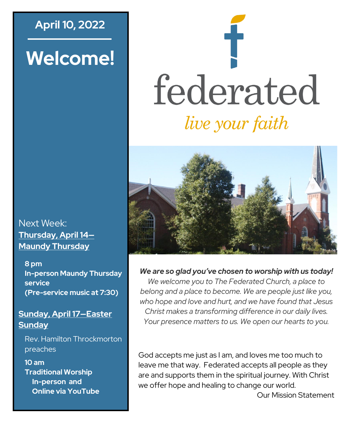# **April 10, 2022**

# **Welcome!**





*We are so glad you've chosen to worship with us today!*

*We welcome you to The Federated Church, a place to belong and a place to become. We are people just like you, who hope and love and hurt, and we have found that Jesus Christ makes a transforming difference in our daily lives. Your presence matters to us. We open our hearts to you.*

God accepts me just as I am, and loves me too much to leave me that way. Federated accepts all people as they are and supports them in the spiritual journey. With Christ we offer hope and healing to change our world.

Our Mission Statement

Next Week: **Thursday, April 14— Maundy Thursday**

**8 pm In-person Maundy Thursday service (Pre-service music at 7:30)**

## **Sunday, April 17—Easter Sunday**

Rev. Hamilton Throckmorton preaches

**10 am Traditional Worship In-person and Online via YouTube**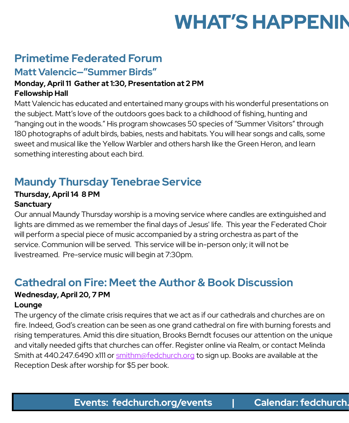# **WHAT'S HAPPENIN**

# **Primetime Federated Forum**

## **Matt Valencic—"Summer Birds"**

#### **Monday, April 11 Gather at 1:30, Presentation at 2 PM Fellowship Hall**

Matt Valencic has educated and entertained many groups with his wonderful presentations on the subject. Matt's love of the outdoors goes back to a childhood of fishing, hunting and "hanging out in the woods." His program showcases 50 species of "Summer Visitors" through 180 photographs of adult birds, babies, nests and habitats. You will hear songs and calls, some sweet and musical like the Yellow Warbler and others harsh like the Green Heron, and learn something interesting about each bird.

## **Maundy Thursday Tenebrae Service**

### **Thursday, April 14 8 PM Sanctuary**

Our annual Maundy Thursday worship is a moving service where candles are extinguished and lights are dimmed as we remember the final days of Jesus' life. This year the Federated Choir will perform a special piece of music accompanied by a string orchestra as part of the service. Communion will be served. This service will be in-person only; it will not be livestreamed. Pre-service music will begin at 7:30pm.

## **Cathedral on Fire: Meet the Author & Book Discussion**

### **Wednesday, April 20, 7 PM Lounge**

The urgency of the climate crisis requires that we act as if our cathedrals and churches are on fire. Indeed, God's creation can be seen as one grand cathedral on fire with burning forests and rising temperatures. Amid this dire situation, Brooks Berndt focuses our attention on the unique and vitally needed gifts that churches can offer. Register online via Realm, or contact Melinda Smith at 440.247.6490 x111 or [smithm@fedchurch.org](mailto:smithm@fedchurch.org) to sign up. Books are available at the Reception Desk after worship for \$5 per book.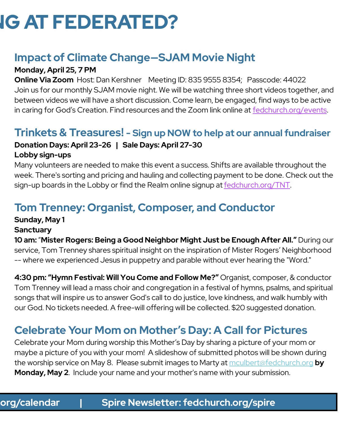# **IG AT FEDERATED?**

## **Impact of Climate Change—SJAM Movie Night**

## **Monday, April 25, 7 PM**

**Online Via Zoom** Host: Dan Kershner Meeting ID: 835 9555 8354; Passcode: 44022 Join us for our monthly SJAM movie night. We will be watching three short videos together, and between videos we will have a short discussion. Come learn, be engaged, find ways to be active in caring for God's Creation. Find resources and the Zoom link online at [fedchurch.org/events.](http://www.fedchurch.org/events)

## **Trinkets & Treasures! - Sign up NOW to help at our annual fundraiser**

### **Donation Days: April 23-26 | Sale Days: April 27-30 Lobby sign-ups**

Many volunteers are needed to make this event a success. Shifts are available throughout the week. There's sorting and pricing and hauling and collecting payment to be done. Check out the sign-up boards in the Lobby or find the Realm online signup at [fedchurch.org/TNT.](http://www.fedchurch.org/TNT)

# **Tom Trenney: Organist, Composer, and Conductor**

### **Sunday, May 1**

### **Sanctuary**

**10 am:** "**Mister Rogers: Being a Good Neighbor Might Just be Enough After All."** During our service, Tom Trenney shares spiritual insight on the inspiration of Mister Rogers' Neighborhood -- where we experienced Jesus in puppetry and parable without ever hearing the "Word."

**4:30 pm: "Hymn Festival: Will You Come and Follow Me?"** Organist, composer, & conductor Tom Trenney will lead a mass choir and congregation in a festival of hymns, psalms, and spiritual songs that will inspire us to answer God's call to do justice, love kindness, and walk humbly with our God. No tickets needed. A free-will offering will be collected. \$20 suggested donation.

# **Celebrate Your Mom on Mother's Day: A Call for Pictures**

Celebrate your Mom during worship this Mother's Day by sharing a picture of your mom or maybe a picture of you with your mom! A slideshow of submitted photos will be shown during the worship service on May 8. Please submit images to Marty at [mculbert@fedchurch.org](mailto:mculbert@fedchurch.org?subject=Mother) **by Monday, May 2**. Include your name and your mother's name with your submission.

## **Events: fedchurch.org/events | Calendar: fedchurch.org/calendar | Spire Newsletter: fedchurch.org/spire Events: fedchurch.org/events | Calendar: fedchurch.org/calendar | Spire Newsletter: fedchurch.org/spire**